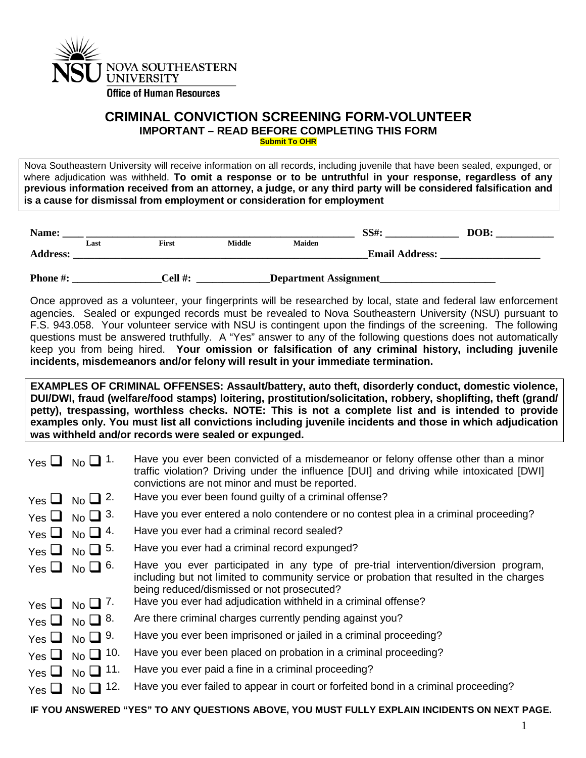

## **CRIMINAL CONVICTION SCREENING FORM-VOLUNTEER IMPORTANT – READ BEFORE COMPLETING THIS FORM Submit To OHR**

Nova Southeastern University will receive information on all records, including juvenile that have been sealed, expunged, or where adjudication was withheld. **To omit a response or to be untruthful in your response, regardless of any previous information received from an attorney, a judge, or any third party will be considered falsification and is a cause for dismissal from employment or consideration for employment**

| Name:           |      |              |               |                              | <b>SS#:</b>           | DOB: |  |
|-----------------|------|--------------|---------------|------------------------------|-----------------------|------|--|
| <b>Address:</b> | Last | <b>First</b> | <b>Middle</b> | <b>Maiden</b>                | <b>Email Address:</b> |      |  |
| <b>Phone #:</b> |      | Cell #:      |               | <b>Department Assignment</b> |                       |      |  |

Once approved as a volunteer, your fingerprints will be researched by local, state and federal law enforcement agencies. Sealed or expunged records must be revealed to Nova Southeastern University (NSU) pursuant to F.S. 943.058. Your volunteer service with NSU is contingent upon the findings of the screening. The following questions must be answered truthfully. A "Yes" answer to any of the following questions does not automatically keep you from being hired. **Your omission or falsification of any criminal history, including juvenile incidents, misdemeanors and/or felony will result in your immediate termination.**

**EXAMPLES OF CRIMINAL OFFENSES: Assault/battery, auto theft, disorderly conduct, domestic violence, DUI/DWI, fraud (welfare/food stamps) loitering, prostitution/solicitation, robbery, shoplifting, theft (grand/ petty), trespassing, worthless checks. NOTE: This is not a complete list and is intended to provide examples only. You must list all convictions including juvenile incidents and those in which adjudication was withheld and/or records were sealed or expunged.**

|            | Yes $\Box$ No $\Box$ 1.  | Have you ever been convicted of a misdemeanor or felony offense other than a minor<br>traffic violation? Driving under the influence [DUI] and driving while intoxicated [DWI]<br>convictions are not minor and must be reported. |
|------------|--------------------------|-----------------------------------------------------------------------------------------------------------------------------------------------------------------------------------------------------------------------------------|
|            | Yes $\Box$ No $\Box$ 2.  | Have you ever been found guilty of a criminal offense?                                                                                                                                                                            |
|            | Yes $\Box$ No $\Box$ 3.  | Have you ever entered a nolo contendere or no contest plea in a criminal proceeding?                                                                                                                                              |
|            | Yes $\Box$ No $\Box$ 4.  | Have you ever had a criminal record sealed?                                                                                                                                                                                       |
|            | Yes $\Box$ No $\Box$ 5.  | Have you ever had a criminal record expunged?                                                                                                                                                                                     |
|            | Yes $\Box$ No $\Box$ 6.  | Have you ever participated in any type of pre-trial intervention/diversion program,<br>including but not limited to community service or probation that resulted in the charges<br>being reduced/dismissed or not prosecuted?     |
|            | Yes $\Box$ No $\Box$ 7.  | Have you ever had adjudication withheld in a criminal offense?                                                                                                                                                                    |
|            | Yes $\Box$ No $\Box$ 8.  | Are there criminal charges currently pending against you?                                                                                                                                                                         |
|            | Yes $\Box$ No $\Box$ 9.  | Have you ever been imprisoned or jailed in a criminal proceeding?                                                                                                                                                                 |
|            | Yes $\Box$ No $\Box$ 10. | Have you ever been placed on probation in a criminal proceeding?                                                                                                                                                                  |
|            | Yes $\Box$ No $\Box$ 11. | Have you ever paid a fine in a criminal proceeding?                                                                                                                                                                               |
| Yes $\Box$ | 12.<br>$No$ $\Box$       | Have you ever failed to appear in court or forfeited bond in a criminal proceeding?                                                                                                                                               |

**IF YOU ANSWERED "YES" TO ANY QUESTIONS ABOVE, YOU MUST FULLY EXPLAIN INCIDENTS ON NEXT PAGE.**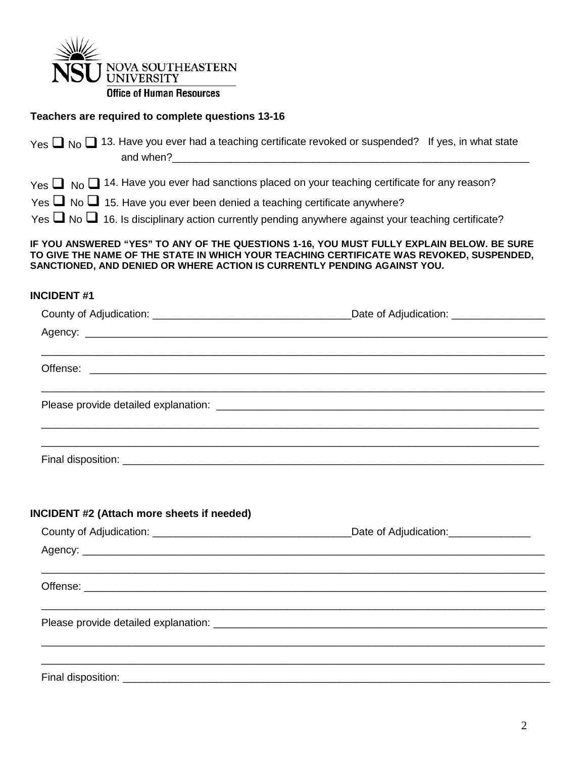

**Office of Human Resources** 

## **Teachers are required to complete questions 13-16**

|                                                                                                                                                                                                                                                                   | $Y_{\text{es}} \square_{N_0} \square$ 13. Have you ever had a teaching certificate revoked or suspended? If yes, in what state |  |  |  |  |
|-------------------------------------------------------------------------------------------------------------------------------------------------------------------------------------------------------------------------------------------------------------------|--------------------------------------------------------------------------------------------------------------------------------|--|--|--|--|
|                                                                                                                                                                                                                                                                   | $Y_{\text{es}} \square$ No $\square$ 14. Have you ever had sanctions placed on your teaching certificate for any reason?       |  |  |  |  |
| Yes $\Box$ No $\Box$ 15. Have you ever been denied a teaching certificate anywhere?                                                                                                                                                                               |                                                                                                                                |  |  |  |  |
|                                                                                                                                                                                                                                                                   | Yes $\Box$ No $\Box$ 16. Is disciplinary action currently pending anywhere against your teaching certificate?                  |  |  |  |  |
| IF YOU ANSWERED "YES" TO ANY OF THE QUESTIONS 1-16, YOU MUST FULLY EXPLAIN BELOW. BE SURE<br>TO GIVE THE NAME OF THE STATE IN WHICH YOUR TEACHING CERTIFICATE WAS REVOKED, SUSPENDED,<br>SANCTIONED, AND DENIED OR WHERE ACTION IS CURRENTLY PENDING AGAINST YOU. |                                                                                                                                |  |  |  |  |
| <b>INCIDENT#1</b>                                                                                                                                                                                                                                                 |                                                                                                                                |  |  |  |  |
|                                                                                                                                                                                                                                                                   |                                                                                                                                |  |  |  |  |
|                                                                                                                                                                                                                                                                   |                                                                                                                                |  |  |  |  |

\_\_\_\_\_\_\_\_\_\_\_\_\_\_\_\_\_\_\_\_\_\_\_\_\_\_\_\_\_\_\_\_\_\_\_\_\_\_\_\_\_\_\_\_\_\_\_\_\_\_\_\_\_\_\_\_\_\_\_\_\_\_\_\_\_\_\_\_\_\_\_\_\_\_\_\_\_\_\_\_\_\_\_\_\_\_

\_\_\_\_\_\_\_\_\_\_\_\_\_\_\_\_\_\_\_\_\_\_\_\_\_\_\_\_\_\_\_\_\_\_\_\_\_\_\_\_\_\_\_\_\_\_\_\_\_\_\_\_\_\_\_\_\_\_\_\_\_\_\_\_\_\_\_\_\_\_\_\_\_\_\_\_\_\_\_\_\_\_\_\_\_\_

\_\_\_\_\_\_\_\_\_\_\_\_\_\_\_\_\_\_\_\_\_\_\_\_\_\_\_\_\_\_\_\_\_\_\_\_\_\_\_\_\_\_\_\_\_\_\_\_\_\_\_\_\_\_\_\_\_\_\_\_\_\_\_\_\_\_\_\_\_\_\_\_\_\_\_\_\_\_\_\_\_\_\_\_\_ \_\_\_\_\_\_\_\_\_\_\_\_\_\_\_\_\_\_\_\_\_\_\_\_\_\_\_\_\_\_\_\_\_\_\_\_\_\_\_\_\_\_\_\_\_\_\_\_\_\_\_\_\_\_\_\_\_\_\_\_\_\_\_\_\_\_\_\_\_\_\_\_\_\_\_\_\_\_\_\_\_\_\_\_\_

Please provide detailed explanation: \_\_\_\_\_\_\_\_\_\_\_\_\_\_\_\_\_\_\_\_\_\_\_\_\_\_\_\_\_\_\_\_\_\_\_\_\_\_\_\_\_\_\_\_\_\_\_\_\_\_\_\_\_\_\_\_

## **INCIDENT #2 (Attach more sheets if needed)**

Offense: \_\_\_\_\_\_\_\_\_\_\_\_\_\_\_\_\_\_\_\_\_\_\_\_\_\_\_\_\_\_\_\_\_\_\_\_\_\_\_\_\_\_\_\_\_\_\_\_\_\_\_\_\_\_\_\_\_\_\_\_\_\_\_\_\_\_\_\_\_\_\_\_\_\_\_\_\_\_

Final disposition: \_\_\_\_\_\_\_\_\_\_\_\_\_\_\_\_\_\_\_\_\_\_\_\_\_\_\_\_\_\_\_\_\_\_\_\_\_\_\_\_\_\_\_\_\_\_\_\_\_\_\_\_\_\_\_\_\_\_\_\_\_\_\_\_\_\_\_\_\_\_\_\_

|  | Date of Adjudication: ________________ |  |  |  |
|--|----------------------------------------|--|--|--|
|  |                                        |  |  |  |
|  |                                        |  |  |  |
|  |                                        |  |  |  |
|  |                                        |  |  |  |
|  |                                        |  |  |  |
|  |                                        |  |  |  |
|  |                                        |  |  |  |
|  |                                        |  |  |  |